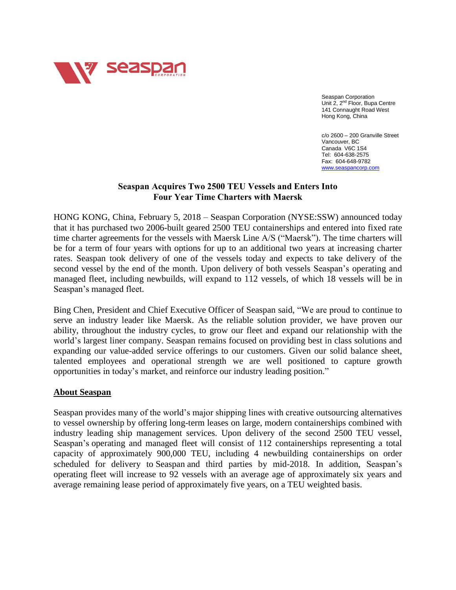

Seaspan Corporation Unit 2, 2<sup>nd</sup> Floor, Bupa Centre 141 Connaught Road West Hong Kong, China

c/o 2600 – 200 Granville Street Vancouver, BC Canada V6C 1S4 Tel: 604-638-2575 Fax: 604-648-9782 [www.seaspancorp.com](http://www.seaspancorp.com/)

## **Seaspan Acquires Two 2500 TEU Vessels and Enters Into Four Year Time Charters with Maersk**

HONG KONG, China, February 5, 2018 – Seaspan Corporation (NYSE:SSW) announced today that it has purchased two 2006-built geared 2500 TEU containerships and entered into fixed rate time charter agreements for the vessels with Maersk Line A/S ("Maersk"). The time charters will be for a term of four years with options for up to an additional two years at increasing charter rates. Seaspan took delivery of one of the vessels today and expects to take delivery of the second vessel by the end of the month. Upon delivery of both vessels Seaspan's operating and managed fleet, including newbuilds, will expand to 112 vessels, of which 18 vessels will be in Seaspan's managed fleet.

Bing Chen, President and Chief Executive Officer of Seaspan said, "We are proud to continue to serve an industry leader like Maersk. As the reliable solution provider, we have proven our ability, throughout the industry cycles, to grow our fleet and expand our relationship with the world's largest liner company. Seaspan remains focused on providing best in class solutions and expanding our value-added service offerings to our customers. Given our solid balance sheet, talented employees and operational strength we are well positioned to capture growth opportunities in today's market, and reinforce our industry leading position."

## **About Seaspan**

Seaspan provides many of the world's major shipping lines with creative outsourcing alternatives to vessel ownership by offering long-term leases on large, modern containerships combined with industry leading ship management services. Upon delivery of the second 2500 TEU vessel, Seaspan's operating and managed fleet will consist of 112 containerships representing a total capacity of approximately 900,000 TEU, including 4 newbuilding containerships on order scheduled for delivery to Seaspan and third parties by mid-2018. In addition, Seaspan's operating fleet will increase to 92 vessels with an average age of approximately six years and average remaining lease period of approximately five years, on a TEU weighted basis.